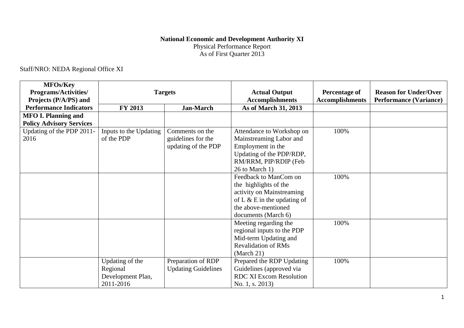## **National Economic and Development Authority XI** Physical Performance Report As of First Quarter 2013

## Staff/NRO: NEDA Regional Office XI

| <b>MFOs/Key</b><br><b>Programs/Activities/</b><br>Projects (P/A/PS) and | <b>Targets</b>         |                            | <b>Actual Output</b><br><b>Accomplishments</b> | <b>Percentage of</b><br><b>Accomplishments</b> | <b>Reason for Under/Over</b><br><b>Performance (Variance)</b> |
|-------------------------------------------------------------------------|------------------------|----------------------------|------------------------------------------------|------------------------------------------------|---------------------------------------------------------------|
| <b>Performance Indicators</b>                                           | <b>FY 2013</b>         | <b>Jan-March</b>           | As of March 31, 2013                           |                                                |                                                               |
| <b>MFO I. Planning and</b>                                              |                        |                            |                                                |                                                |                                                               |
| <b>Policy Advisory Services</b>                                         |                        |                            |                                                |                                                |                                                               |
| Updating of the PDP 2011-                                               | Inputs to the Updating | Comments on the            | Attendance to Workshop on                      | 100%                                           |                                                               |
| 2016                                                                    | of the PDP             | guidelines for the         | Mainstreaming Labor and                        |                                                |                                                               |
|                                                                         |                        | updating of the PDP        | Employment in the                              |                                                |                                                               |
|                                                                         |                        |                            | Updating of the PDP/RDP,                       |                                                |                                                               |
|                                                                         |                        |                            | RM/RRM, PIP/RDIP (Feb                          |                                                |                                                               |
|                                                                         |                        |                            | 26 to March 1)                                 |                                                |                                                               |
|                                                                         |                        |                            | Feedback to ManCom on                          | 100%                                           |                                                               |
|                                                                         |                        |                            | the highlights of the                          |                                                |                                                               |
|                                                                         |                        |                            | activity on Mainstreaming                      |                                                |                                                               |
|                                                                         |                        |                            | of L $\&$ E in the updating of                 |                                                |                                                               |
|                                                                         |                        |                            | the above-mentioned                            |                                                |                                                               |
|                                                                         |                        |                            | documents (March 6)                            |                                                |                                                               |
|                                                                         |                        |                            | Meeting regarding the                          | 100%                                           |                                                               |
|                                                                         |                        |                            | regional inputs to the PDP                     |                                                |                                                               |
|                                                                         |                        |                            | Mid-term Updating and                          |                                                |                                                               |
|                                                                         |                        |                            | <b>Revalidation of RMs</b>                     |                                                |                                                               |
|                                                                         |                        |                            | (March 21)                                     |                                                |                                                               |
|                                                                         | Updating of the        | Preparation of RDP         | Prepared the RDP Updating                      | 100%                                           |                                                               |
|                                                                         | Regional               | <b>Updating Guidelines</b> | Guidelines (approved via                       |                                                |                                                               |
|                                                                         | Development Plan,      |                            | <b>RDC XI Excom Resolution</b>                 |                                                |                                                               |
|                                                                         | 2011-2016              |                            | No. 1, s. 2013)                                |                                                |                                                               |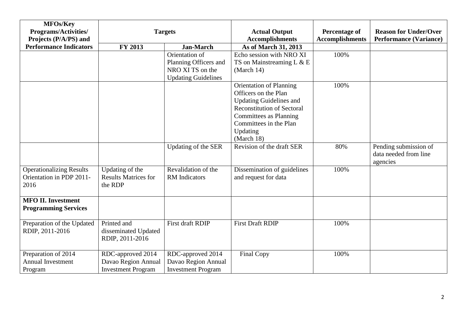| <b>MFOs/Key</b><br><b>Programs/Activities/</b><br>Projects (P/A/PS) and | <b>Targets</b>                                                        |                                                                                           | <b>Actual Output</b><br><b>Accomplishments</b>                                                                                                                                                                   | <b>Percentage of</b><br><b>Accomplishments</b> | <b>Reason for Under/Over</b><br><b>Performance (Variance)</b> |
|-------------------------------------------------------------------------|-----------------------------------------------------------------------|-------------------------------------------------------------------------------------------|------------------------------------------------------------------------------------------------------------------------------------------------------------------------------------------------------------------|------------------------------------------------|---------------------------------------------------------------|
| <b>Performance Indicators</b>                                           | <b>FY 2013</b>                                                        | <b>Jan-March</b>                                                                          | As of March 31, 2013                                                                                                                                                                                             |                                                |                                                               |
|                                                                         |                                                                       | Orientation of<br>Planning Officers and<br>NRO XI TS on the<br><b>Updating Guidelines</b> | Echo session with NRO XI<br>TS on Mainstreaming L & E<br>(March 14)                                                                                                                                              | 100%                                           |                                                               |
|                                                                         |                                                                       |                                                                                           | <b>Orientation of Planning</b><br>Officers on the Plan<br><b>Updating Guidelines and</b><br><b>Reconstitution of Sectoral</b><br><b>Committees as Planning</b><br>Committees in the Plan<br>Updating<br>March 18 | 100%                                           |                                                               |
|                                                                         |                                                                       | Updating of the SER                                                                       | Revision of the draft SER                                                                                                                                                                                        | 80%                                            | Pending submission of<br>data needed from line<br>agencies    |
| <b>Operationalizing Results</b><br>Orientation in PDP 2011-<br>2016     | Updating of the<br><b>Results Matrices for</b><br>the RDP             | Revalidation of the<br><b>RM</b> Indicators                                               | Dissemination of guidelines<br>and request for data                                                                                                                                                              | 100%                                           |                                                               |
| <b>MFO II. Investment</b><br><b>Programming Services</b>                |                                                                       |                                                                                           |                                                                                                                                                                                                                  |                                                |                                                               |
| Preparation of the Updated<br>RDIP, 2011-2016                           | Printed and<br>disseminated Updated<br>RDIP, 2011-2016                | First draft RDIP                                                                          | <b>First Draft RDIP</b>                                                                                                                                                                                          | 100%                                           |                                                               |
| Preparation of 2014<br><b>Annual Investment</b><br>Program              | RDC-approved 2014<br>Davao Region Annual<br><b>Investment Program</b> | RDC-approved 2014<br>Davao Region Annual<br><b>Investment Program</b>                     | <b>Final Copy</b>                                                                                                                                                                                                | 100%                                           |                                                               |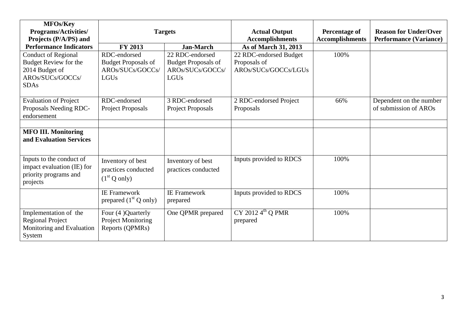| <b>MFOs/Key</b><br>Programs/Activities/<br>Projects (P/A/PS) and                                                | <b>Targets</b>                                                         |                                                                           | <b>Actual Output</b><br><b>Accomplishments</b>                 | Percentage of<br><b>Accomplishments</b> | <b>Reason for Under/Over</b><br><b>Performance (Variance)</b> |
|-----------------------------------------------------------------------------------------------------------------|------------------------------------------------------------------------|---------------------------------------------------------------------------|----------------------------------------------------------------|-----------------------------------------|---------------------------------------------------------------|
| <b>Performance Indicators</b>                                                                                   | <b>FY 2013</b>                                                         | <b>Jan-March</b>                                                          | As of March 31, 2013                                           |                                         |                                                               |
| <b>Conduct of Regional</b><br><b>Budget Review for the</b><br>2014 Budget of<br>AROs/SUCs/GOCCs/<br><b>SDAs</b> | RDC-endorsed<br><b>Budget Proposals of</b><br>AROs/SUCs/GOCCs/<br>LGUs | 22 RDC-endorsed<br><b>Budget Proposals of</b><br>AROs/SUCs/GOCCs/<br>LGUs | 22 RDC-endorsed Budget<br>Proposals of<br>AROs/SUCs/GOCCs/LGUs | 100%                                    |                                                               |
| <b>Evaluation of Project</b><br>Proposals Needing RDC-<br>endorsement                                           | RDC-endorsed<br>Project Proposals                                      | 3 RDC-endorsed<br>Project Proposals                                       | 2 RDC-endorsed Project<br>Proposals                            | 66%                                     | Dependent on the number<br>of submission of AROs              |
| <b>MFO III. Monitoring</b><br>and Evaluation Services                                                           |                                                                        |                                                                           |                                                                |                                         |                                                               |
| Inputs to the conduct of<br>impact evaluation (IE) for<br>priority programs and<br>projects                     | Inventory of best<br>practices conducted<br>(1 <sup>st</sup> Q only)   | Inventory of best<br>practices conducted                                  | Inputs provided to RDCS                                        | 100%                                    |                                                               |
|                                                                                                                 | <b>IE Framework</b><br>prepared $(1st Q only)$                         | <b>IE</b> Framework<br>prepared                                           | Inputs provided to RDCS                                        | 100%                                    |                                                               |
| Implementation of the<br><b>Regional Project</b><br>Monitoring and Evaluation<br>System                         | Four (4) Quarterly<br><b>Project Monitoring</b><br>Reports (QPMRs)     | One QPMR prepared                                                         | CY 2012 $4^{\text{th}}$ Q PMR<br>prepared                      | 100%                                    |                                                               |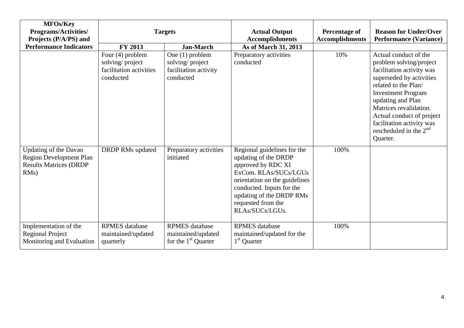| <b>MFOs/Key</b><br><b>Programs/Activities/</b><br>Projects (P/A/PS) and                                 | <b>Targets</b>                                                              |                                                                          | <b>Actual Output</b><br><b>Accomplishments</b>                                                                                                                                                                                        | <b>Percentage of</b><br><b>Accomplishments</b> | <b>Reason for Under/Over</b><br><b>Performance (Variance)</b>                                                                                                                                                                                                                                                             |
|---------------------------------------------------------------------------------------------------------|-----------------------------------------------------------------------------|--------------------------------------------------------------------------|---------------------------------------------------------------------------------------------------------------------------------------------------------------------------------------------------------------------------------------|------------------------------------------------|---------------------------------------------------------------------------------------------------------------------------------------------------------------------------------------------------------------------------------------------------------------------------------------------------------------------------|
| <b>Performance Indicators</b>                                                                           | <b>FY 2013</b>                                                              | <b>Jan-March</b>                                                         | As of March 31, 2013                                                                                                                                                                                                                  |                                                |                                                                                                                                                                                                                                                                                                                           |
|                                                                                                         | Four (4) problem<br>solving/project<br>facilitation activities<br>conducted | One (1) problem<br>solving/project<br>facilitation activity<br>conducted | Preparatory activities<br>conducted                                                                                                                                                                                                   | 10%                                            | Actual conduct of the<br>problem solving/project<br>facilitation activity was<br>superseded by activities<br>related to the Plan/<br><b>Investment Program</b><br>updating and Plan<br>Matrices revalidation.<br>Actual conduct of project<br>facilitation activity was<br>rescheduled in the 2 <sup>nd</sup><br>Quarter. |
| <b>Updating of the Davao</b><br><b>Region Development Plan</b><br><b>Results Matrices (DRDP</b><br>RMs) | <b>DRDP RMs updated</b>                                                     | Preparatory activities<br>initiated                                      | Regional guidelines for the<br>updating of the DRDP<br>approved by RDC XI<br>ExCom. RLAs/SUCs/LGUs<br>orientation on the guidelines<br>conducted. Inputs for the<br>updating of the DRDP RMs<br>requested from the<br>RLAs/SUCs/LGUs. | 100%                                           |                                                                                                                                                                                                                                                                                                                           |
| Implementation of the<br><b>Regional Project</b><br>Monitoring and Evaluation                           | <b>RPMES</b> database<br>maintained/updated<br>quarterly                    | <b>RPMES</b> database<br>maintained/updated<br>for the $1st$ Quarter     | <b>RPMES</b> database<br>maintained/updated for the<br>1 <sup>st</sup> Quarter                                                                                                                                                        | 100%                                           |                                                                                                                                                                                                                                                                                                                           |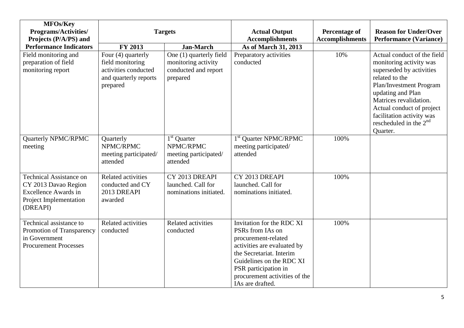| <b>MFOs/Key</b><br><b>Programs/Activities/</b><br>Projects (P/A/PS) and                                                     | <b>Targets</b>                                                                                      |                                                                                    | <b>Actual Output</b><br><b>Accomplishments</b>                                                                                                                                                                                           | Percentage of<br><b>Accomplishments</b> | <b>Reason for Under/Over</b><br><b>Performance (Variance)</b>                                                                                                                                                                                                                    |
|-----------------------------------------------------------------------------------------------------------------------------|-----------------------------------------------------------------------------------------------------|------------------------------------------------------------------------------------|------------------------------------------------------------------------------------------------------------------------------------------------------------------------------------------------------------------------------------------|-----------------------------------------|----------------------------------------------------------------------------------------------------------------------------------------------------------------------------------------------------------------------------------------------------------------------------------|
| <b>Performance Indicators</b>                                                                                               | FY 2013                                                                                             | <b>Jan-March</b>                                                                   | As of March 31, 2013                                                                                                                                                                                                                     |                                         |                                                                                                                                                                                                                                                                                  |
| Field monitoring and<br>preparation of field<br>monitoring report                                                           | Four (4) quarterly<br>field monitoring<br>activities conducted<br>and quarterly reports<br>prepared | One (1) quarterly field<br>monitoring activity<br>conducted and report<br>prepared | Preparatory activities<br>conducted                                                                                                                                                                                                      | 10%                                     | Actual conduct of the field<br>monitoring activity was<br>superseded by activities<br>related to the<br>Plan/Investment Program<br>updating and Plan<br>Matrices revalidation.<br>Actual conduct of project<br>facilitation activity was<br>rescheduled in the $2nd$<br>Quarter. |
| Quarterly NPMC/RPMC<br>meeting                                                                                              | Quarterly<br>NPMC/RPMC<br>meeting participated/<br>attended                                         | 1 <sup>st</sup> Quarter<br>NPMC/RPMC<br>meeting participated/<br>attended          | 1 <sup>st</sup> Quarter NPMC/RPMC<br>meeting participated/<br>attended                                                                                                                                                                   | 100%                                    |                                                                                                                                                                                                                                                                                  |
| <b>Technical Assistance on</b><br>CY 2013 Davao Region<br><b>Excellence Awards in</b><br>Project Implementation<br>(DREAPI) | <b>Related activities</b><br>conducted and CY<br>2013 DREAPI<br>awarded                             | CY 2013 DREAPI<br>launched. Call for<br>nominations initiated.                     | CY 2013 DREAPI<br>launched. Call for<br>nominations initiated.                                                                                                                                                                           | 100%                                    |                                                                                                                                                                                                                                                                                  |
| Technical assistance to<br>Promotion of Transparency<br>in Government<br><b>Procurement Processes</b>                       | <b>Related activities</b><br>conducted                                                              | <b>Related activities</b><br>conducted                                             | Invitation for the RDC XI<br>PSRs from IAs on<br>procurement-related<br>activities are evaluated by<br>the Secretariat. Interim<br>Guidelines on the RDC XI<br>PSR participation in<br>procurement activities of the<br>IAs are drafted. | 100%                                    |                                                                                                                                                                                                                                                                                  |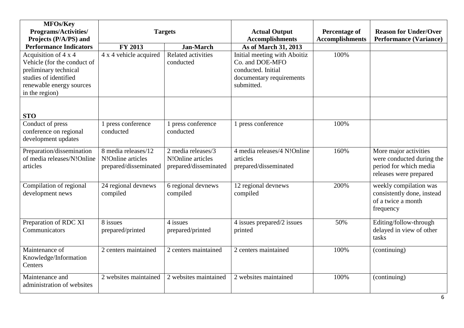| MFOs/Key<br><b>Programs/Activities/</b>                                                                                                             | <b>Targets</b>                                                    |                                                                  | <b>Actual Output</b>                                                                                                                    | Percentage of          | <b>Reason for Under/Over</b>                                                                           |
|-----------------------------------------------------------------------------------------------------------------------------------------------------|-------------------------------------------------------------------|------------------------------------------------------------------|-----------------------------------------------------------------------------------------------------------------------------------------|------------------------|--------------------------------------------------------------------------------------------------------|
| Projects (P/A/PS) and<br><b>Performance Indicators</b>                                                                                              | <b>FY 2013</b>                                                    |                                                                  | <b>Accomplishments</b>                                                                                                                  | <b>Accomplishments</b> | <b>Performance (Variance)</b>                                                                          |
| Acquisition of 4 x 4<br>Vehicle (for the conduct of<br>preliminary technical<br>studies of identified<br>renewable energy sources<br>in the region) | 4 x 4 vehicle acquired                                            | <b>Jan-March</b><br><b>Related activities</b><br>conducted       | As of March 31, 2013<br>Initial meeting with Aboitiz<br>Co. and DOE-MFO<br>conducted. Initial<br>documentary requirements<br>submitted. | 100%                   |                                                                                                        |
| <b>STO</b>                                                                                                                                          |                                                                   |                                                                  |                                                                                                                                         |                        |                                                                                                        |
| Conduct of press<br>conference on regional<br>development updates                                                                                   | 1 press conference<br>conducted                                   | 1 press conference<br>conducted                                  | 1 press conference                                                                                                                      | 100%                   |                                                                                                        |
| Preparation/dissemination<br>of media releases/N!Online<br>articles                                                                                 | 8 media releases/12<br>N!Online articles<br>prepared/disseminated | 2 media releases/3<br>N!Online articles<br>prepared/disseminated | 4 media releases/4 N!Online<br>articles<br>prepared/disseminated                                                                        | 160%                   | More major activities<br>were conducted during the<br>period for which media<br>releases were prepared |
| Compilation of regional<br>development news                                                                                                         | 24 regional devnews<br>compiled                                   | 6 regional devnews<br>compiled                                   | 12 regional devnews<br>compiled                                                                                                         | 200%                   | weekly compilation was<br>consistently done, instead<br>of a twice a month<br>frequency                |
| Preparation of RDC XI<br>Communicators                                                                                                              | 8 issues<br>prepared/printed                                      | 4 issues<br>prepared/printed                                     | 4 issues prepared/2 issues<br>printed                                                                                                   | 50%                    | Editing/follow-through<br>delayed in view of other<br>tasks                                            |
| Maintenance of<br>Knowledge/Information<br>Centers                                                                                                  | 2 centers maintained                                              | 2 centers maintained                                             | 2 centers maintained                                                                                                                    | 100%                   | (continuing)                                                                                           |
| Maintenance and<br>administration of websites                                                                                                       | 2 websites maintained                                             | 2 websites maintained                                            | 2 websites maintained                                                                                                                   | 100%                   | (continuing)                                                                                           |